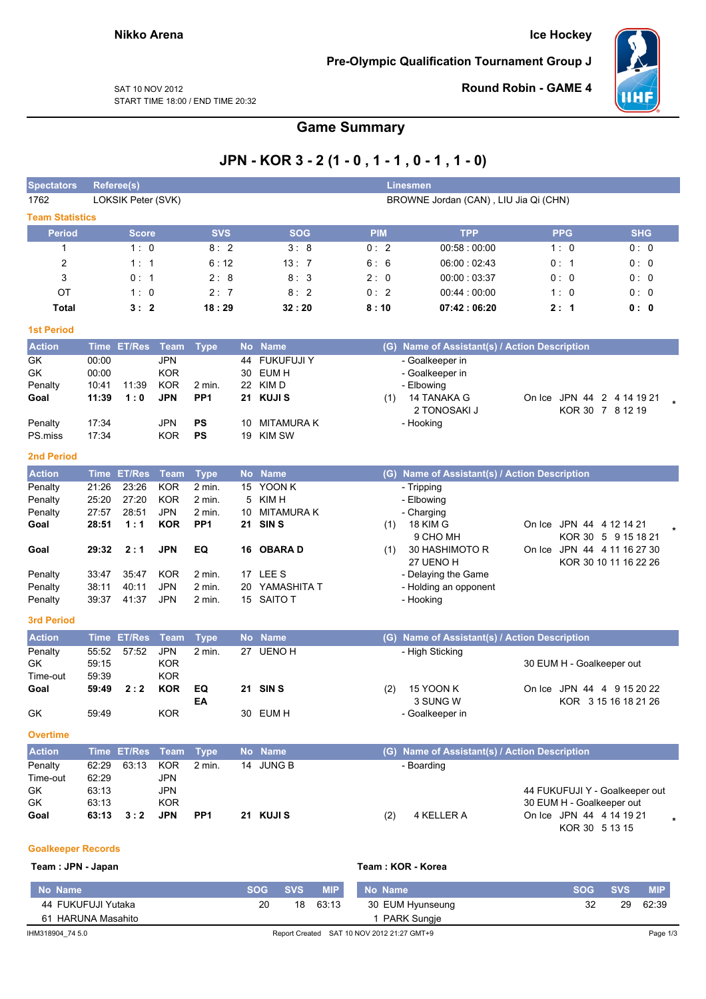**Ice Hockey** 

Pre-Olympic Qualification Tournament Group J



SAT 10 NOV 2012 START TIME 18:00 / END TIME 20:32 **Round Robin - GAME 4** 

## **Game Summary**

## JPN - KOR 3 - 2 (1 - 0, 1 - 1, 0 - 1, 1 - 0)

| opectators                |                | Referee(s)         |                          |                 |           |                  |            | <b>Linesmen</b>                               |                                |                       |
|---------------------------|----------------|--------------------|--------------------------|-----------------|-----------|------------------|------------|-----------------------------------------------|--------------------------------|-----------------------|
| 1762                      |                | LOKSIK Peter (SVK) |                          |                 |           |                  |            | BROWNE Jordan (CAN), LIU Jia Qi (CHN)         |                                |                       |
| <b>Team Statistics</b>    |                |                    |                          |                 |           |                  |            |                                               |                                |                       |
| <b>Period</b>             |                | <b>Score</b>       |                          | <b>SVS</b>      |           | <b>SOG</b>       | <b>PIM</b> | <b>TPP</b>                                    | <b>PPG</b>                     | <b>SHG</b>            |
| 1                         |                | 1:0                |                          | 8:2             |           | 3:8              | 0:2        | 00:58:00:00                                   | 1:0                            | 0: 0                  |
| $\overline{c}$            |                | 1:1                |                          | 6:12            |           | 13:7             | 6:6        | 06:00:02:43                                   | 0: 1                           | 0:0                   |
| 3                         |                | 0: 1               |                          | 2:8             |           | 8:3              | 2:0        | 00:00:03:37                                   | 0: 0                           | 0:0                   |
| OT                        |                | 1:0                |                          | 2:7             |           | 8:2              | 0:2        | 00:44:00:00                                   | 1:0                            | 0:0                   |
| <b>Total</b>              |                | 3:2                |                          | 18:29           |           | 32:20            | 8:10       | 07:42:06:20                                   | 2:1                            | 0: 0                  |
| <b>1st Period</b>         |                |                    |                          |                 |           |                  |            |                                               |                                |                       |
| <b>Action</b>             | <b>Time</b>    | <b>ET/Res</b>      | Team                     | <b>Type</b>     | <b>No</b> | <b>Name</b>      |            | (G) Name of Assistant(s) / Action Description |                                |                       |
| GK                        | 00:00          |                    | <b>JPN</b>               |                 | 44        | <b>FUKUFUJIY</b> |            | - Goalkeeper in                               |                                |                       |
| GK                        | 00:00          |                    | <b>KOR</b>               |                 | 30        | EUM H            |            | - Goalkeeper in                               |                                |                       |
| Penalty                   | 10:41          | 11:39              | <b>KOR</b>               | 2 min.          | 22        | KIM D            |            | - Elbowing                                    |                                |                       |
| Goal                      | 11:39          | 1:0                | <b>JPN</b>               | PP <sub>1</sub> | 21        | <b>KUJIS</b>     | (1)        | <b>14 TANAKA G</b>                            | On Ice JPN 44 2 4 14 19 21     |                       |
|                           |                |                    |                          |                 |           |                  |            | 2 TONOSAKI J                                  |                                | KOR 30 7 8 12 19      |
| Penalty                   | 17:34          |                    | <b>JPN</b>               | <b>PS</b>       |           | 10 MITAMURA K    |            | - Hooking                                     |                                |                       |
| PS.miss                   | 17:34          |                    | <b>KOR</b>               | <b>PS</b>       | 19        | <b>KIM SW</b>    |            |                                               |                                |                       |
| <b>2nd Period</b>         |                |                    |                          |                 |           |                  |            |                                               |                                |                       |
| <b>Action</b>             | <b>Time</b>    | <b>ET/Res</b>      | <b>Team</b>              | <b>Type</b>     |           | No Name          |            | (G) Name of Assistant(s) / Action Description |                                |                       |
| Penalty                   | 21:26          | 23:26              | <b>KOR</b>               | 2 min.          |           | 15 YOON K        |            | - Tripping                                    |                                |                       |
| Penalty                   | 25:20          | 27:20              | <b>KOR</b>               | 2 min.          | 5         | KIM H            |            | - Elbowing                                    |                                |                       |
| Penalty                   | 27:57          | 28:51              | <b>JPN</b>               | 2 min.          | 10        | <b>MITAMURAK</b> |            | - Charging                                    |                                |                       |
| Goal                      | 28:51          | 1:1                | <b>KOR</b>               | PP <sub>1</sub> | 21        | SIN <sub>S</sub> | (1)        | 18 KIM G                                      | On Ice JPN 44 4 12 14 21       |                       |
|                           |                |                    |                          |                 |           |                  |            | 9 CHO MH                                      |                                | KOR 30 5 9 15 18 21   |
| Goal                      | 29:32          | 2:1                | <b>JPN</b>               | EQ              | 16        | <b>OBARAD</b>    | (1)        | 30 HASHIMOTO R<br>27 UENO H                   | On Ice JPN 44 4 11 16 27 30    | KOR 30 10 11 16 22 26 |
| Penalty                   | 33:47          | 35:47              | <b>KOR</b>               | 2 min.          |           | 17 LEE S         |            | - Delaying the Game                           |                                |                       |
| Penalty                   | 38:11          | 40:11              | <b>JPN</b>               | 2 min.          |           | 20 YAMASHITA T   |            | - Holding an opponent                         |                                |                       |
| Penalty                   | 39:37          | 41:37              | <b>JPN</b>               | 2 min.          |           | 15 SAITO T       |            | - Hooking                                     |                                |                       |
|                           |                |                    |                          |                 |           |                  |            |                                               |                                |                       |
| <b>3rd Period</b>         |                |                    |                          |                 |           |                  |            |                                               |                                |                       |
| <b>Action</b>             | <b>Time</b>    | <b>ET/Res</b>      | <b>Team</b>              | <b>Type</b>     | <b>No</b> | <b>Name</b>      |            | (G) Name of Assistant(s) / Action Description |                                |                       |
| Penalty                   | 55:52          | 57:52              | <b>JPN</b>               | 2 min.          |           | 27 UENO H        |            | - High Sticking                               |                                |                       |
| GK                        | 59:15          |                    | <b>KOR</b><br><b>KOR</b> |                 |           |                  |            |                                               | 30 EUM H - Goalkeeper out      |                       |
| Time-out<br>Goal          | 59:39<br>59:49 | 2:2                | <b>KOR</b>               | EQ              |           | 21 SINS          |            | 15 YOON K                                     | On Ice JPN 44 4 9 15 20 22     |                       |
|                           |                |                    |                          | EA              |           |                  | (2)        | 3 SUNG W                                      |                                | KOR 3 15 16 18 21 26  |
| GK                        | 59:49          |                    | <b>KOR</b>               |                 |           | 30 EUM H         |            | - Goalkeeper in                               |                                |                       |
| <b>Overtime</b>           |                |                    |                          |                 |           |                  |            |                                               |                                |                       |
| <b>Action</b>             |                | Time ET/Res        | Team                     | <b>Type</b>     | <b>No</b> | <b>Name</b>      |            | (G) Name of Assistant(s) / Action Description |                                |                       |
| Penalty                   | 62:29          | 63:13              | <b>KOR</b>               | 2 min.          |           | 14 JUNG B        |            | - Boarding                                    |                                |                       |
| Time-out                  | 62:29          |                    | <b>JPN</b>               |                 |           |                  |            |                                               |                                |                       |
| GK                        | 63:13          |                    | JPN                      |                 |           |                  |            |                                               | 44 FUKUFUJI Y - Goalkeeper out |                       |
| GK                        | 63:13          |                    | <b>KOR</b>               |                 |           |                  |            |                                               | 30 EUM H - Goalkeeper out      |                       |
| Goal                      | 63:13          | 3:2                | <b>JPN</b>               | PP <sub>1</sub> |           | 21 KUJI S        | (2)        | 4 KELLER A                                    | On Ice JPN 44 4 14 19 21       |                       |
|                           |                |                    |                          |                 |           |                  |            |                                               | KOR 30 5 13 15                 |                       |
|                           |                |                    |                          |                 |           |                  |            |                                               |                                |                       |
| <b>Goalkeeper Records</b> |                |                    |                          |                 |           |                  |            |                                               |                                |                       |

Team: JPN - Japan

Team: KOR - Korea

| No Name            | SOG 4 | SVS / | <b>MIP</b> | No Name                                    | SOG 4 | <b>SVS</b> | <b>MIP</b> |
|--------------------|-------|-------|------------|--------------------------------------------|-------|------------|------------|
| 44 FUKUFUJI Yutaka | 20    |       | 18 63:13   | 30 EUM Hyunseung                           | 32    | 29         | 62:39      |
| 61 HARUNA Masahito |       |       |            | PARK Sungje                                |       |            |            |
| IHM318904 74 5.0   |       |       |            | Report Created SAT 10 NOV 2012 21:27 GMT+9 |       |            | Page 1/3   |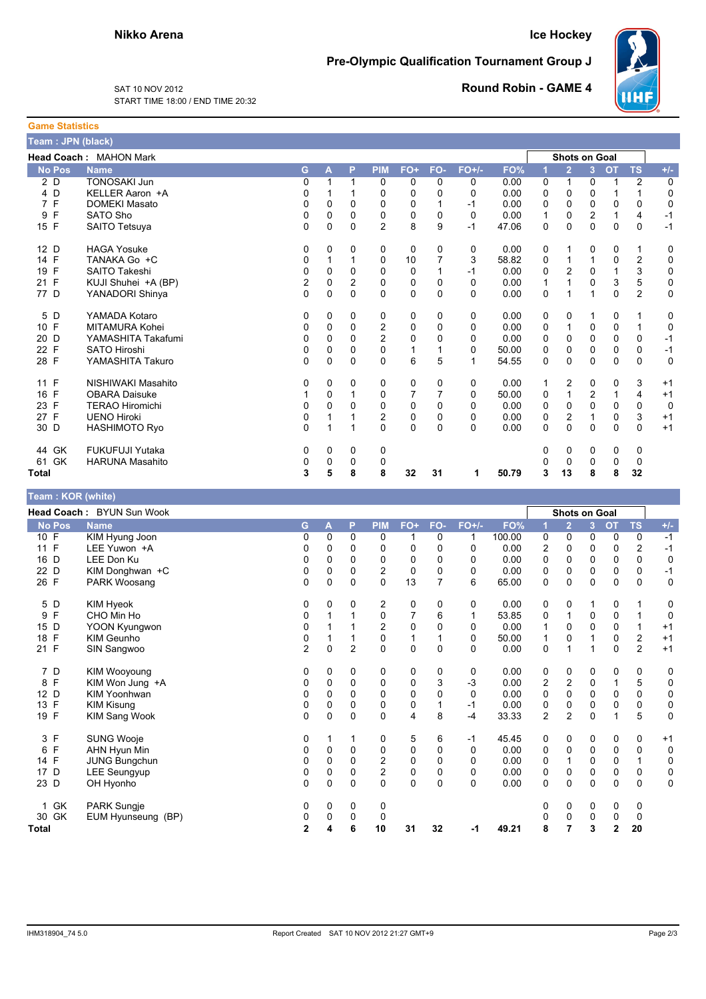## **Ice Hockey**

Pre-Olympic Qualification Tournament Group J



SAT 10 NOV 2012 START TIME 18:00 / END TIME 20:32 **Round Robin - GAME 4** 

| <b>Game Statistics</b> |    |                               |                |          |                |                |          |          |          |       |          |                      |                |           |                |             |
|------------------------|----|-------------------------------|----------------|----------|----------------|----------------|----------|----------|----------|-------|----------|----------------------|----------------|-----------|----------------|-------------|
| Team: JPN (black)      |    |                               |                |          |                |                |          |          |          |       |          |                      |                |           |                |             |
|                        |    | <b>Head Coach: MAHON Mark</b> |                |          |                |                |          |          |          |       |          | <b>Shots on Goal</b> |                |           |                |             |
| <b>No Pos</b>          |    | <b>Name</b>                   | G              | A        | P              | <b>PIM</b>     | FO+      | FO-      | $FO+/-$  | FO%   | 1        | $\overline{2}$       | $\overline{3}$ | <b>OT</b> | <b>TS</b>      | $+/-$       |
| 2 D                    |    | <b>TONOSAKI Jun</b>           | 0              |          | 1              | 0              | 0        | 0        | 0        | 0.00  | 0        | 1                    | 0              | 1         | 2              | 0           |
| 4 D                    |    | KELLER Aaron +A               | 0              |          |                | 0              | 0        | 0        | 0        | 0.00  | 0        | 0                    | 0              | 1         | 1              | $\mathbf 0$ |
| 7 F                    |    | <b>DOMEKI Masato</b>          | 0              | 0        | $\Omega$       | 0              | 0        |          | $-1$     | 0.00  | 0        | 0                    | 0              | 0         | 0              | $\mathbf 0$ |
| F<br>9                 |    | SATO Sho                      | 0              | 0        | 0              | 0              | 0        | 0        | $\Omega$ | 0.00  | 1        | 0                    | 2              | 1         | $\overline{4}$ | $-1$        |
| 15 F                   |    | SAITO Tetsuya                 | 0              | 0        | 0              | $\overline{c}$ | 8        | 9        | $-1$     | 47.06 | 0        | 0                    | 0              | 0         | 0              | $-1$        |
| 12 D                   |    | <b>HAGA Yosuke</b>            | 0              | 0        | 0              | 0              | 0        | 0        | 0        | 0.00  | 0        | 1                    | 0              | 0         | $\mathbf{1}$   | 0           |
| 14 F                   |    | TANAKA Go +C                  | 0              |          |                | 0              | 10       |          | 3        | 58.82 | 0        | 1                    | 1              | 0         | $\overline{2}$ | 0           |
| F<br>19                |    | SAITO Takeshi                 | 0              | $\Omega$ | $\Omega$       | 0              | 0        |          | -1       | 0.00  | 0        | $\overline{2}$       | $\mathbf 0$    | 1         | 3              | $\mathbf 0$ |
| 21 F                   |    | KUJI Shuhei +A (BP)           | $\overline{c}$ | $\Omega$ | $\overline{2}$ | $\Omega$       | 0        | 0        | 0        | 0.00  |          | $\mathbf{1}$         | $\Omega$       | 3         | $\overline{5}$ | $\mathbf 0$ |
| 77 D                   |    | YANADORI Shinya               | 0              | 0        | $\Omega$       | 0              | 0        | $\Omega$ | 0        | 0.00  | 0        | $\mathbf{1}$         | 1              | 0         | $\overline{c}$ | $\mathbf 0$ |
| 5<br>D                 |    | YAMADA Kotaro                 | 0              | 0        | 0              | 0              | 0        | 0        | 0        | 0.00  | 0        | 0                    |                | 0         | 1              | 0           |
| 10 F                   |    | MITAMURA Kohei                | 0              | 0        | $\Omega$       | $\overline{2}$ | 0        | 0        | 0        | 0.00  | 0        | $\mathbf{1}$         | 0              | 0         | $\mathbf{1}$   | 0           |
| 20 D                   |    | YAMASHITA Takafumi            | 0              | 0        | 0              | $\overline{c}$ | 0        | 0        | 0        | 0.00  | 0        | 0                    | $\mathbf 0$    | 0         | 0              | $-1$        |
| 22 F                   |    | <b>SATO Hiroshi</b>           | 0              | $\Omega$ | $\Omega$       | $\Omega$       | 1        |          | 0        | 50.00 | 0        | $\Omega$             | $\Omega$       | 0         | 0              | $-1$        |
| 28 F                   |    | YAMASHITA Takuro              | 0              | $\Omega$ | $\Omega$       | $\Omega$       | 6        | 5        | 1        | 54.55 | $\Omega$ | $\Omega$             | $\Omega$       | 0         | $\Omega$       | $\Omega$    |
| F<br>11                |    | NISHIWAKI Masahito            | 0              | 0        | 0              | 0              | 0        | 0        | 0        | 0.00  | 1        | 2                    | 0              | 0         | 3              | $+1$        |
| 16 F                   |    | <b>OBARA Daisuke</b>          |                | 0        |                | 0              | 7        | 7        | 0        | 50.00 | 0        | $\mathbf{1}$         | 2              | 1         | $\overline{4}$ | $+1$        |
| F<br>23                |    | <b>TERAO Hiromichi</b>        | 0              | 0        | 0              | 0              | 0        | $\Omega$ | 0        | 0.00  | 0        | 0                    | 0              | 0         | 0              | $\mathbf 0$ |
| 27 F                   |    | <b>UENO Hiroki</b>            | 0              |          |                | $\overline{2}$ | 0        | 0        | 0        | 0.00  | 0        | $\overline{c}$       | 1              | 0         | 3              | $+1$        |
| 30 D                   |    | <b>HASHIMOTO Ryo</b>          | 0              | 1        |                | $\Omega$       | $\Omega$ | $\Omega$ | 0        | 0.00  | 0        | 0                    | $\Omega$       | 0         | $\Omega$       | $+1$        |
| 44 GK                  |    | <b>FUKUFUJI Yutaka</b>        | 0              | 0        | 0              | 0              |          |          |          |       | 0        | 0                    | 0              | 0         | 0              |             |
| 61                     | GK | <b>HARUNA Masahito</b>        | 0              | 0        | 0              | 0              |          |          |          |       | 0        | $\mathbf 0$          | 0              | 0         | $\mathbf 0$    |             |
| <b>Total</b>           |    |                               | 3              | 5        | 8              | 8              | 32       | 31       | 1        | 50.79 | 3        | 13                   | 8              | 8         | 32             |             |

| <b>Team: KOR (white)</b>  |                           |                |          |                |                         |              |                |          |        |                |                      |                |                |                         |             |
|---------------------------|---------------------------|----------------|----------|----------------|-------------------------|--------------|----------------|----------|--------|----------------|----------------------|----------------|----------------|-------------------------|-------------|
|                           | Head Coach: BYUN Sun Wook |                |          |                |                         |              |                |          |        |                | <b>Shots on Goal</b> |                |                |                         |             |
| <b>No Pos</b>             | <b>Name</b>               | G              | A        | P              | <b>PIM</b>              | FO+          | FO-            | $FO+/-$  | FO%    |                | 2                    | $\overline{3}$ | <b>OT</b>      | <b>TS</b>               | $+/-$       |
| 10 F                      | KIM Hyung Joon            | 0              | 0        | 0              | 0                       |              | 0              | 1        | 100.00 | 0              | 0                    | $\mathbf 0$    | 0              | 0                       | $-1$        |
| F<br>11                   | LEE Yuwon +A              | 0              | 0        | 0              | 0                       | 0            | 0              | 0        | 0.00   | 2              | 0                    | $\mathbf 0$    | $\mathbf 0$    | $\overline{\mathbf{c}}$ | $-1$        |
| D<br>16                   | LEE Don Ku                | 0              | 0        | 0              | 0                       | 0            | 0              | 0        | 0.00   | 0              | 0                    | 0              | 0              | 0                       | 0           |
| 22 D                      | KIM Donghwan +C           | 0              | 0        | $\mathbf 0$    | $\boldsymbol{2}$        | $\mathbf 0$  | 0              | 0        | 0.00   | 0              | 0                    | $\mathbf 0$    | 0              | 0                       | $-1$        |
| 26 F                      | PARK Woosang              | $\Omega$       | 0        | $\Omega$       | $\mathbf 0$             | 13           | $\overline{7}$ | 6        | 65.00  | 0              | $\mathbf 0$          | 0              | $\Omega$       | 0                       | $\mathbf 0$ |
| 5 D                       | KIM Hyeok                 | 0              | 0        | 0              | 2                       | 0            | 0              | 0        | 0.00   | 0              | 0                    | 1              | 0              | 1                       | 0           |
| F<br>9                    | CHO Min Ho                | 0              | 1        |                | 0                       | 7            | 6              | 1        | 53.85  | 0              | 1                    | 0              | 0              | 1                       | 0           |
| D<br>15                   | YOON Kyungwon             | 0              |          |                | $\overline{\mathbf{c}}$ | 0            | 0              | 0        | 0.00   |                | 0                    | $\mathbf 0$    | 0              | 1                       | $+1$        |
| F<br>18                   | KIM Geunho                | 0              |          |                | $\pmb{0}$               | $\mathbf{1}$ | 1              | 0        | 50.00  | 1              | 0                    | 1              | 0              | $\overline{c}$          | $+1$        |
| $\mathsf{F}$<br>21        | SIN Sangwoo               | $\overline{2}$ | 0        | $\overline{2}$ | 0                       | 0            | $\mathbf 0$    | 0        | 0.00   | 0              | 1                    | 1              | 0              | $\overline{2}$          | $+1$        |
| 7 D                       | KIM Wooyoung              | 0              | 0        | 0              | 0                       | 0            | 0              | 0        | 0.00   | 0              | 0                    | 0              | 0              | 0                       | 0           |
| F<br>8                    | KIM Won Jung +A           | 0              | 0        | $\mathbf 0$    | 0                       | 0            | 3              | $-3$     | 0.00   | 2              | 2                    | 0              |                | 5                       | 0           |
| D<br>12                   | <b>KIM Yoonhwan</b>       | 0              | 0        | $\Omega$       | 0                       | 0            | $\Omega$       | 0        | 0.00   | 0              | 0                    | 0              | 0              | 0                       | 0           |
| F<br>13                   | <b>KIM Kisung</b>         | 0              | 0        | $\mathbf 0$    | 0                       | 0            |                | $-1$     | 0.00   | 0              | 0                    | $\mathbf 0$    | 0              | 0                       | 0           |
| $\mathsf{F}$<br>19        | KIM Sang Wook             | $\Omega$       | $\Omega$ | $\mathbf{0}$   | $\Omega$                | 4            | 8              | $-4$     | 33.33  | $\overline{2}$ | $\overline{2}$       | $\Omega$       |                | 5                       | $\mathbf 0$ |
| 3 F                       | <b>SUNG Wooje</b>         | 0              | 1        |                | 0                       | 5            | 6              | $-1$     | 45.45  | 0              | 0                    | 0              | 0              | 0                       | $+1$        |
| F<br>6                    | AHN Hyun Min              | 0              | 0        | 0              | 0                       | 0            | 0              | 0        | 0.00   | 0              | 0                    | 0              | 0              | 0                       | 0           |
| 14 F                      | JUNG Bungchun             | 0              | 0        | $\mathbf 0$    | $\overline{\mathbf{c}}$ | 0            | $\Omega$       | 0        | 0.00   | 0              | 1                    | $\mathbf 0$    | $\mathbf 0$    | $\mathbf{1}$            | 0           |
| 17 D                      | LEE Seungyup              | 0              | 0        | $\mathbf 0$    | $\overline{c}$          | $\pmb{0}$    | 0              | 0        | 0.00   | 0              | 0                    | 0              | 0              | 0                       | 0           |
| 23 D                      | OH Hyonho                 | 0              | $\Omega$ | $\Omega$       | $\Omega$                | $\mathbf{0}$ | $\Omega$       | $\Omega$ | 0.00   | 0              | $\mathbf 0$          | $\Omega$       | $\Omega$       | 0                       | $\mathbf 0$ |
| <b>GK</b><br>$\mathbf{1}$ | <b>PARK Sungje</b>        | 0              | 0        | 0              | 0                       |              |                |          |        | 0              | 0                    | 0              | 0              | 0                       |             |
| 30 GK                     | EUM Hyunseung (BP)        | 0              | 0        | $\Omega$       | 0                       |              |                |          |        | 0              | $\mathbf 0$          | 0              | 0              | 0                       |             |
| <b>Total</b>              |                           | $\mathbf{2}$   | 4        | 6              | 10                      | 31           | 32             | -1       | 49.21  | 8              | 7                    | 3              | $\overline{2}$ | 20                      |             |